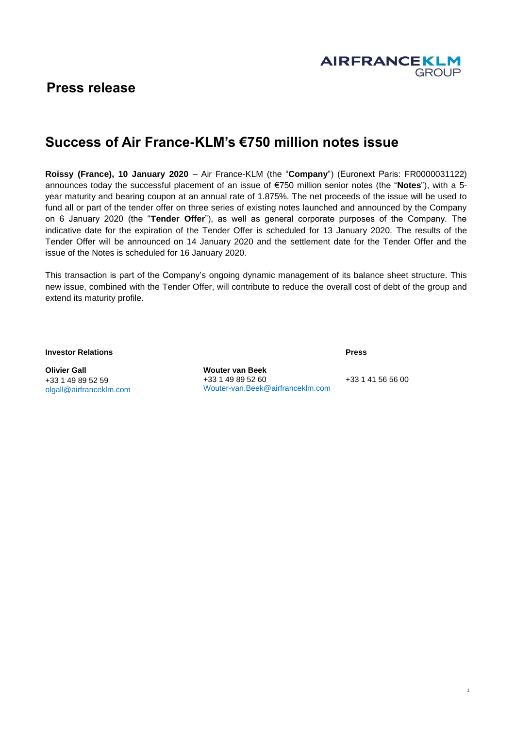

# **Press release**

# **Success of Air France-KLM's €750 million notes issue**

**Roissy (France), 10 January 2020** – Air France-KLM (the "**Company**") (Euronext Paris: FR0000031122) announces today the successful placement of an issue of €750 million senior notes (the "**Notes**"), with a 5 year maturity and bearing coupon at an annual rate of 1.875%. The net proceeds of the issue will be used to fund all or part of the tender offer on three series of existing notes launched and announced by the Company on 6 January 2020 (the "**Tender Offer**"), as well as general corporate purposes of the Company. The indicative date for the expiration of the Tender Offer is scheduled for 13 January 2020. The results of the Tender Offer will be announced on 14 January 2020 and the settlement date for the Tender Offer and the issue of the Notes is scheduled for 16 January 2020.

This transaction is part of the Company's ongoing dynamic management of its balance sheet structure. This new issue, combined with the Tender Offer, will contribute to reduce the overall cost of debt of the group and extend its maturity profile.

**Investor Relations**

**Olivier Gall** +33 1 49 89 52 59 olgall@airfranceklm.com **Wouter van Beek** +33 1 49 89 52 60 Wouter-van.Beek@airfranceklm.com

+33 1 41 56 56 00

**Press**

1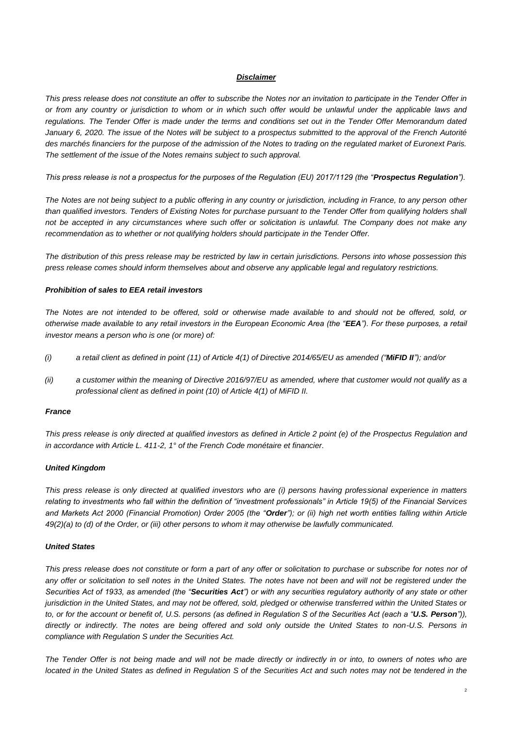#### *Disclaimer*

*This press release does not constitute an offer to subscribe the Notes nor an invitation to participate in the Tender Offer in or from any country or jurisdiction to whom or in which such offer would be unlawful under the applicable laws and regulations. The Tender Offer is made under the terms and conditions set out in the Tender Offer Memorandum dated January 6, 2020. The issue of the Notes will be subject to a prospectus submitted to the approval of the French Autorité des marchés financiers for the purpose of the admission of the Notes to trading on the regulated market of Euronext Paris. The settlement of the issue of the Notes remains subject to such approval.* 

*This press release is not a prospectus for the purposes of the Regulation (EU) 2017/1129 (the "Prospectus Regulation").*

*The Notes are not being subject to a public offering in any country or jurisdiction, including in France, to any person other than qualified investors. Tenders of Existing Notes for purchase pursuant to the Tender Offer from qualifying holders shall not be accepted in any circumstances where such offer or solicitation is unlawful. The Company does not make any recommendation as to whether or not qualifying holders should participate in the Tender Offer.*

*The distribution of this press release may be restricted by law in certain jurisdictions. Persons into whose possession this press release comes should inform themselves about and observe any applicable legal and regulatory restrictions.*

#### *Prohibition of sales to EEA retail investors*

*The Notes are not intended to be offered, sold or otherwise made available to and should not be offered, sold, or otherwise made available to any retail investors in the European Economic Area (the "EEA"). For these purposes, a retail investor means a person who is one (or more) of:*

- *(i) a retail client as defined in point (11) of Article 4(1) of Directive 2014/65/EU as amended ("MiFID II"); and/or*
- *(ii) a customer within the meaning of Directive 2016/97/EU as amended, where that customer would not qualify as a professional client as defined in point (10) of Article 4(1) of MiFID II.*

#### *France*

*This press release is only directed at qualified investors as defined in Article 2 point (e) of the Prospectus Regulation and in accordance with Article L. 411-2, 1° of the French Code monétaire et financier.*

## *United Kingdom*

*This press release is only directed at qualified investors who are (i) persons having professional experience in matters relating to investments who fall within the definition of "investment professionals" in Article 19(5) of the Financial Services and Markets Act 2000 (Financial Promotion) Order 2005 (the "Order"); or (ii) high net worth entities falling within Article 49(2)(a) to (d) of the Order, or (iii) other persons to whom it may otherwise be lawfully communicated.*

## *United States*

*This press release does not constitute or form a part of any offer or solicitation to purchase or subscribe for notes nor of*  any offer or solicitation to sell notes in the United States. The notes have not been and will not be registered under the *Securities Act of 1933, as amended (the "Securities Act") or with any securities regulatory authority of any state or other jurisdiction in the United States, and may not be offered, sold, pledged or otherwise transferred within the United States or to, or for the account or benefit of, U.S. persons (as defined in Regulation S of the Securities Act (each a "U.S. Person")), directly or indirectly. The notes are being offered and sold only outside the United States to non-U.S. Persons in compliance with Regulation S under the Securities Act.*

*The Tender Offer is not being made and will not be made directly or indirectly in or into, to owners of notes who are located in the United States as defined in Regulation S of the Securities Act and such notes may not be tendered in the*